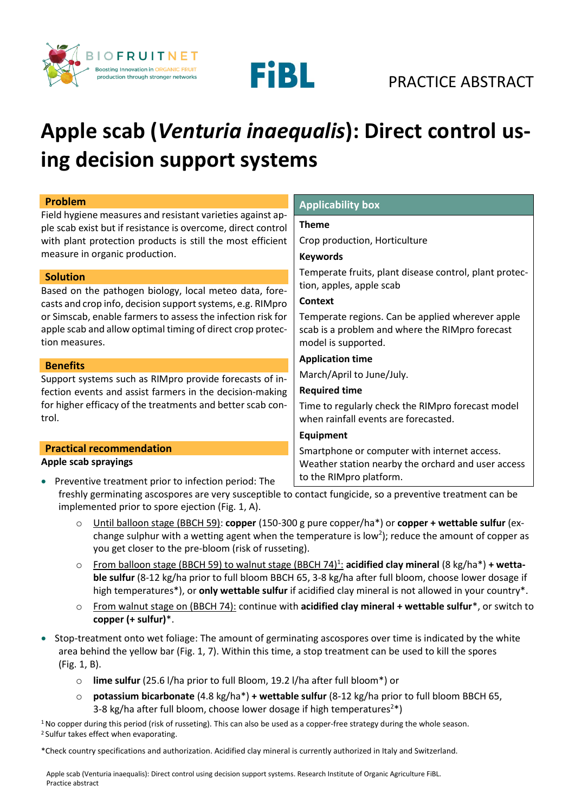



# FIBL PRACTICE ABSTRACT

### **Apple scab (***Venturia inaequalis***): Direct control using decision support systems**

| <b>Problem</b>                                                                                                                                                                                                                                                                         | <b>Applicability box</b>                                                                                                                                                                                                           |
|----------------------------------------------------------------------------------------------------------------------------------------------------------------------------------------------------------------------------------------------------------------------------------------|------------------------------------------------------------------------------------------------------------------------------------------------------------------------------------------------------------------------------------|
| Field hygiene measures and resistant varieties against ap-<br>ple scab exist but if resistance is overcome, direct control                                                                                                                                                             | <b>Theme</b>                                                                                                                                                                                                                       |
| with plant protection products is still the most efficient                                                                                                                                                                                                                             | Crop production, Horticulture                                                                                                                                                                                                      |
| measure in organic production.                                                                                                                                                                                                                                                         | <b>Keywords</b>                                                                                                                                                                                                                    |
| <b>Solution</b><br>Based on the pathogen biology, local meteo data, fore-<br>casts and crop info, decision support systems, e.g. RIMpro<br>or Simscab, enable farmers to assess the infection risk for<br>apple scab and allow optimal timing of direct crop protec-<br>tion measures. | Temperate fruits, plant disease control, plant protec-<br>tion, apples, apple scab<br><b>Context</b><br>Temperate regions. Can be applied wherever apple<br>scab is a problem and where the RIMpro forecast<br>model is supported. |
| <b>Benefits</b>                                                                                                                                                                                                                                                                        | <b>Application time</b>                                                                                                                                                                                                            |
| Support systems such as RIMpro provide forecasts of in-                                                                                                                                                                                                                                | March/April to June/July.                                                                                                                                                                                                          |
| fection events and assist farmers in the decision-making                                                                                                                                                                                                                               | <b>Required time</b>                                                                                                                                                                                                               |
| for higher efficacy of the treatments and better scab con-<br>trol.                                                                                                                                                                                                                    | Time to regularly check the RIMpro forecast model<br>when rainfall events are forecasted.                                                                                                                                          |
|                                                                                                                                                                                                                                                                                        | <b>Equipment</b>                                                                                                                                                                                                                   |
| <b>Practical recommendation</b>                                                                                                                                                                                                                                                        | Smartphone or computer with internet access.                                                                                                                                                                                       |
| Apple scab sprayings<br>Preventive treatment prior to infection period: The<br>$\bullet$                                                                                                                                                                                               | Weather station nearby the orchard and user access<br>to the RIMpro platform.                                                                                                                                                      |
| freshly germinating ascospores are very susceptible to contact fungicide, so a preventive treatment can be                                                                                                                                                                             |                                                                                                                                                                                                                                    |

- freshly germinating ascospores are very susceptible to contact fungicide, so a preventive treatment can be implemented prior to spore ejection (Fig. 1, A).
	- o Until balloon stage (BBCH 59): **copper** (150-300 g pure copper/ha\*) or **copper + wettable sulfur** (exchange sulphur with a wetting agent when the temperature is low<sup>2</sup>); reduce the amount of copper as you get closer to the pre-bloom (risk of russeting).
	- o From balloon stage (BBCH 59) to walnut stage (BBCH 74)<sup>1</sup> : **acidified clay mineral** (8 kg/ha\*) **+ wettable sulfur** (8-12 kg/ha prior to full bloom BBCH 65, 3-8 kg/ha after full bloom, choose lower dosage if high temperatures\*), or **only wettable sulfur** if acidified clay mineral is not allowed in your country\*.
	- o From walnut stage on (BBCH 74): continue with **acidified clay mineral + wettable sulfur**\*, or switch to **copper (+ sulfur)**\*.
- Stop-treatment onto wet foliage: The amount of germinating ascospores over time is indicated by the white area behind the yellow bar (Fig. 1, 7). Within this time, a stop treatment can be used to kill the spores (Fig. 1, B).
	- o **lime sulfur** (25.6 l/ha prior to full Bloom, 19.2 l/ha after full bloom\*) or
	- o **potassium bicarbonate** (4.8 kg/ha\*) **+ wettable sulfur** (8-12 kg/ha prior to full bloom BBCH 65, 3-8 kg/ha after full bloom, choose lower dosage if high temperatures<sup>2\*</sup>)

 $1$ No copper during this period (risk of russeting). This can also be used as a copper-free strategy during the whole season. <sup>2</sup>Sulfur takes effect when evaporating.

\*Check country specifications and authorization. Acidified clay mineral is currently authorized in Italy and Switzerland.

Apple scab (Venturia inaequalis): Direct control using decision support systems. Research Institute of Organic Agriculture FiBL. Practice abstract